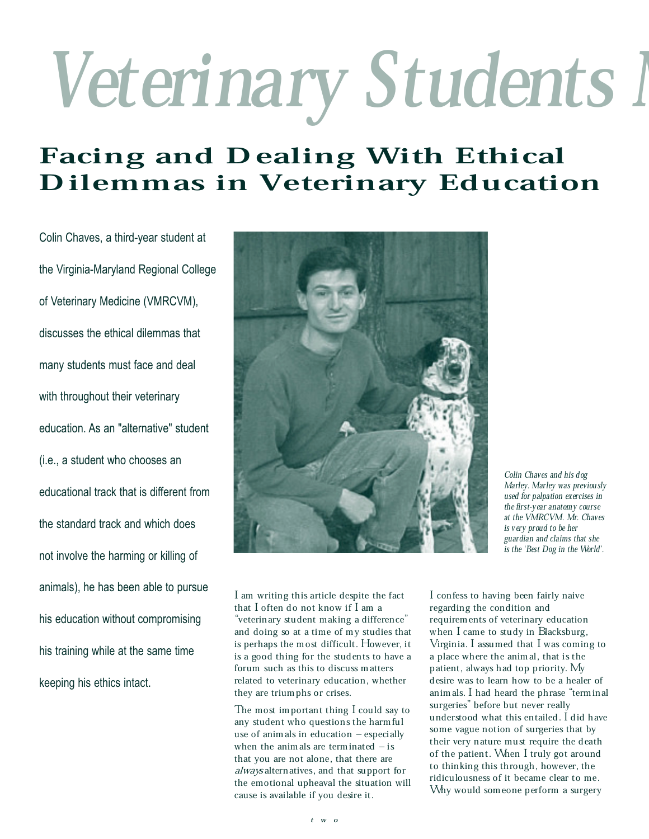## Veterinary Students I

## Facing and Dealing With Ethical Dilemmas in Veterinary Education

Colin Chaves, a third-year student at the Virginia-Maryland Regional College of Veterinary Medicine (VMRCVM), discusses the ethical dilemmas that many students must face and deal with throughout their veterinary education. As an "alternative" student (i.e., a student who chooses an educational track that is different from the standard track and which does not involve the harming or killing of animals), he has been able to pursue his education without compromising his training while at the same time keeping his ethics intact.



Colin Chaves and his dog Marley. Marley was previously used for palpation exercises in the first-year anatomy course at the VMRCVM. Mr. Chaves is very proud to be her guardian and claims that she is the `Best Dog in the World'.

I am writing this article despite the fact that I often do not know if I am a "veterinary student making a difference" and doing so at a time of my studies that is perhaps the most difficult. However, it is a good thing for the students to have a forum such as this to discuss matters related to veterinary education, whether they are triumphs or crises.

The most important thing I could say to any student who questions the harmful use of animals in education  $-$  especially when the animals are terminated  $-\mathrm{is}$ that you are not alone, that there are always alternatives, and that support for the emotional upheaval the situation will cause is available if you desire it.

I confess to having been fairly naive regarding the condition and requirements of veterinary education when I came to study in Blacksburg, Virginia. I assumed that I was coming to a place where the animal, that is the patient, always had top priority. My desire was to learn how to be a healer of animals. I had heard the phrase ªterminal surgeries" before but never really understood what this entailed. I did have some vague notion of surgeries that by their very nature must require the death of the patient. When I truly got around to thinking this through, however, the ridiculousness of it became clear to me. Why would someone perform a surgery